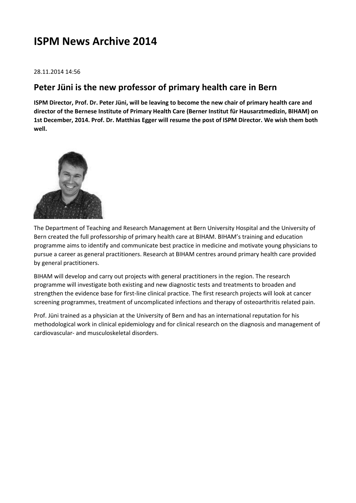# **ISPM News Archive 2014**

#### 28.11.2014 14:56

### **Peter Jüni is the new professor of primary health care in Bern**

**ISPM Director, Prof. Dr. Peter Jüni, will be leaving to become the new chair of primary health care and director of the Bernese Institute of Primary Health Care (Berner Institut für Hausarztmedizin, BIHAM) on 1st December, 2014. Prof. Dr. Matthias Egger will resume the post of ISPM Director. We wish them both well.**



The Department of Teaching and Research Management at Bern University Hospital and the University of Bern created the full professorship of primary health care at BIHAM. BIHAM's training and education programme aims to identify and communicate best practice in medicine and motivate young physicians to pursue a career as general practitioners. Research at BIHAM centres around primary health care provided by general practitioners.

BIHAM will develop and carry out projects with general practitioners in the region. The research programme will investigate both existing and new diagnostic tests and treatments to broaden and strengthen the evidence base for first-line clinical practice. The first research projects will look at cancer screening programmes, treatment of uncomplicated infections and therapy of osteoarthritis related pain.

Prof. Jüni trained as a physician at the University of Bern and has an international reputation for his methodological work in clinical epidemiology and for clinical research on the diagnosis and management of cardiovascular- and musculoskeletal disorders.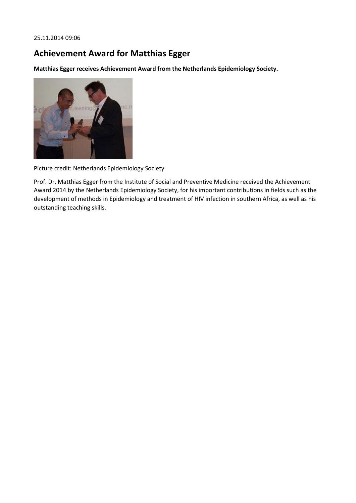25.11.2014 09:06

## **Achievement Award for Matthias Egger**

**Matthias Egger receives Achievement Award from the Netherlands Epidemiology Society.**



Picture credit: Netherlands Epidemiology Society

Prof. Dr. Matthias Egger from the Institute of Social and Preventive Medicine received the Achievement Award 2014 by the Netherlands Epidemiology Society, for his important contributions in fields such as the development of methods in Epidemiology and treatment of HIV infection in southern Africa, as well as his outstanding teaching skills.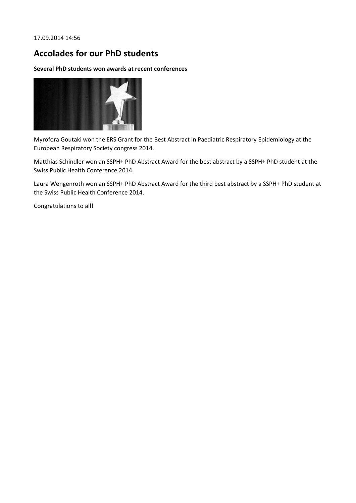17.09.2014 14:56

### **Accolades for our PhD students**

#### **Several PhD students won awards at recent conferences**



Myrofora Goutaki won the ERS Grant for the Best Abstract in Paediatric Respiratory Epidemiology at the European Respiratory Society congress 2014.

Matthias Schindler won an SSPH+ PhD Abstract Award for the best abstract by a SSPH+ PhD student at the Swiss Public Health Conference 2014.

Laura Wengenroth won an SSPH+ PhD Abstract Award for the third best abstract by a SSPH+ PhD student at the Swiss Public Health Conference 2014.

Congratulations to all!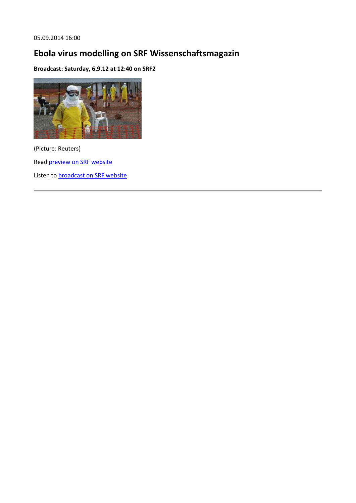05.09.2014 16:00

# **Ebola virus modelling on SRF Wissenschaftsmagazin**

**Broadcast: Saturday, 6.9.12 at 12:40 on SRF2**



(Picture: Reuters) Rea[d preview on SRF website](http://www.srf.ch/wissen/mensch/ebola-schweizer-forscher-berechnen-die-gefahr) Listen to **broadcast on SRF website**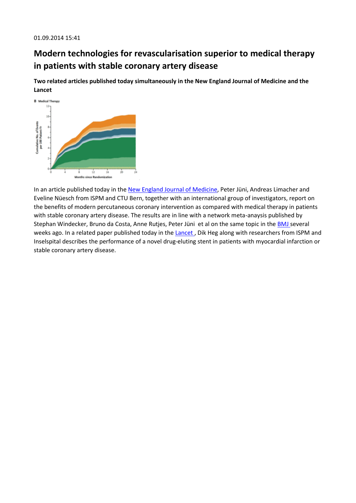## **Modern technologies for revascularisation superior to medical therapy in patients with stable coronary artery disease**

**Two related articles published today simultaneously in the New England Journal of Medicine and the Lancet**



In an article published today in the [New England Journal of Medicine,](http://www.nejm.org/doi/full/10.1056/NEJMoa1408758) Peter Jüni, Andreas Limacher and Eveline Nüesch from ISPM and CTU Bern, together with an international group of investigators, report on the benefits of modern percutaneous coronary intervention as compared with medical therapy in patients with stable coronary artery disease. The results are in line with a network meta-anaysis published by Stephan Windecker, Bruno da Costa, Anne Rutjes, Peter Jüni et al on the same topic in the [BMJ s](http://www.bmj.com/content/bmj/348/bmj.g3859.full.pdf)everal weeks ago. In a related paper published today in the Lancet, Dik Heg along with researchers from ISPM and Inselspital describes the performance of a novel drug-eluting stent in patients with myocardial infarction or stable coronary artery disease.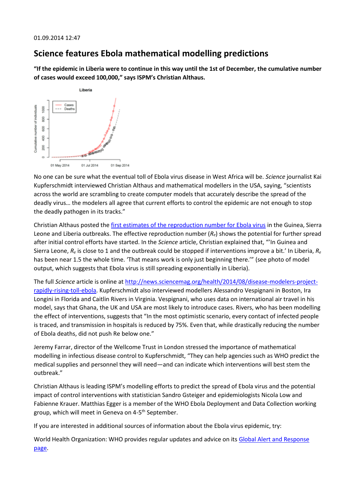### **Science features Ebola mathematical modelling predictions**

**"If the epidemic in Liberia were to continue in this way until the 1st of December, the cumulative number of cases would exceed 100,000," says ISPM's Christian Althaus.**



No one can be sure what the eventual toll of Ebola virus disease in West Africa will be. *Science* journalist Kai Kupferschmidt interviewed Christian Althaus and mathematical modellers in the USA, saying, "scientists across the world are scrambling to create computer models that accurately describe the spread of the deadly virus… the modelers all agree that current efforts to control the epidemic are not enough to stop the deadly pathogen in its tracks."

Christian Althaus posted th[e first estimates of the reproduction number for Ebola virus](http://arxiv.org/abs/1408.3505) in the Guinea, Sierra Leone and Liberia outbreaks. The effective reproduction number (*Re*) shows the potential for further spread after initial control efforts have started. In the *Science* article, Christian explained that, "'In Guinea and Sierra Leone, *R<sup>e</sup>* is close to 1 and the outbreak could be stopped if interventions improve a bit.' In Liberia, *R<sup>e</sup>* has been near 1.5 the whole time. 'That means work is only just beginning there.'" (see photo of model output, which suggests that Ebola virus is still spreading exponentially in Liberia).

The full *Science* article is online at [http://news.sciencemag.org/health/2014/08/disease-modelers-project](http://news.sciencemag.org/health/2014/08/disease-modelers-project-rapidly-rising-toll-ebola)[rapidly-rising-toll-ebola.](http://news.sciencemag.org/health/2014/08/disease-modelers-project-rapidly-rising-toll-ebola) Kupferschmidt also interviewed modellers Alessandro Vespignani in Boston, Ira Longini in Florida and Caitlin Rivers in Virginia. Vespignani, who uses data on international air travel in his model, says that Ghana, the UK and USA are most likely to introduce cases. Rivers, who has been modelling the effect of interventions, suggests that "In the most optimistic scenario, every contact of infected people is traced, and transmission in hospitals is reduced by 75%. Even that, while drastically reducing the number of Ebola deaths, did not push Re below one."

Jeremy Farrar, director of the Wellcome Trust in London stressed the importance of mathematical modelling in infectious disease control to Kupferschmidt, "They can help agencies such as WHO predict the medical supplies and personnel they will need—and can indicate which interventions will best stem the outbreak."

Christian Althaus is leading ISPM's modelling efforts to predict the spread of Ebola virus and the potential impact of control interventions with statistician Sandro Gsteiger and epidemiologists Nicola Low and Fabienne Krauer. Matthias Egger is a member of the WHO Ebola Deployment and Data Collection working group, which will meet in Geneva on 4-5<sup>th</sup> September.

If you are interested in additional sources of information about the Ebola virus epidemic, try:

World Health Organization: WHO provides regular updates and advice on its Global Alert and Response [page.](http://www.who.int/csr/disease/ebola/en/)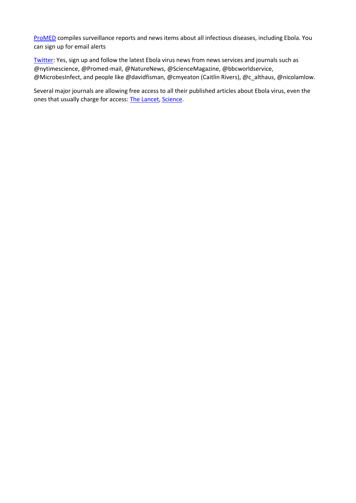[ProMED](http://www.promedmail.org/) compiles surveillance reports and news items about all infectious diseases, including Ebola. You can sign up for email alerts

[Twitter:](https://twitter.com/) Yes, sign up and follow the latest Ebola virus news from news services and journals such as @nytimescience, @Promed-mail, @NatureNews, @ScienceMagazine, @bbcworldservice, @MicrobesInfect, and people like @davidfisman, @cmyeaton (Caitlin Rivers), @c\_althaus, @nicolamlow.

Several major journals are allowing free access to all their published articles about Ebola virus, even the ones that usually charge for access: [The Lancet,](http://ebola.thelancet.com/) [Science.](http://www.sciencemag.org/site/extra/ebola/?utm_source=newssidebar&utm_medium=web&utm_content=ebola&utm_campaign=collection-promo)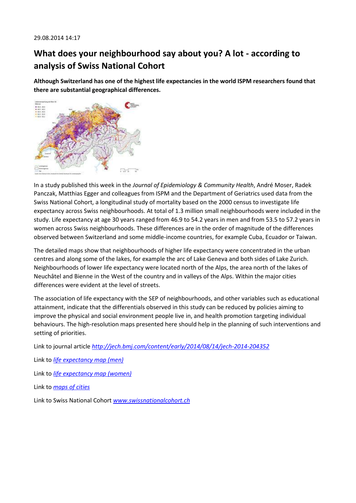## **What does your neighbourhood say about you? A lot - according to analysis of Swiss National Cohort**

**Although Switzerland has one of the highest life expectancies in the world ISPM researchers found that there are substantial geographical differences.**



In a study published this week in the *Journal of Epidemiology & Community Health*, André Moser, Radek Panczak, Matthias Egger and colleagues from ISPM and the Department of Geriatrics used data from the Swiss National Cohort, a longitudinal study of mortality based on the 2000 census to investigate life expectancy across Swiss neighbourhoods. At total of 1.3 million small neighbourhoods were included in the study. Life expectancy at age 30 years ranged from 46.9 to 54.2 years in men and from 53.5 to 57.2 years in women across Swiss neighbourhoods. These differences are in the order of magnitude of the differences observed between Switzerland and some middle-income countries, for example Cuba, Ecuador or Taiwan.

The detailed maps show that neighbourhoods of higher life expectancy were concentrated in the urban centres and along some of the lakes, for example the arc of Lake Geneva and both sides of Lake Zurich. Neighbourhoods of lower life expectancy were located north of the Alps, the area north of the lakes of Neuchâtel and Bienne in the West of the country and in valleys of the Alps. Within the major cities differences were evident at the level of streets.

The association of life expectancy with the SEP of neighbourhoods, and other variables such as educational attainment, indicate that the differentials observed in this study can be reduced by policies aiming to improve the physical and social environment people live in, and health promotion targeting individual behaviours. The high-resolution maps presented here should help in the planning of such interventions and setting of priorities.

Link to journal article *<http://jech.bmj.com/content/early/2014/08/14/jech-2014-204352>*

Link to *[life expectancy map \(men\)](http://www.ispm.ch/fileadmin/doc_download/News/news_0814_figure_le_v02_men.jpg)*

Link to *[life expectancy map \(women\)](http://www.ispm.ch/fileadmin/doc_download/News/news_0814_figure_le_v02_women.jpg)* 

Link to *[maps of cities](http://www.ispm.ch/fileadmin/doc_download/News/news_0814_le_maps_cities.pdf)*

Link to Swiss National Cohort *[www.swissnationalcohort.ch](http://www.swissnationalcohort.ch/)*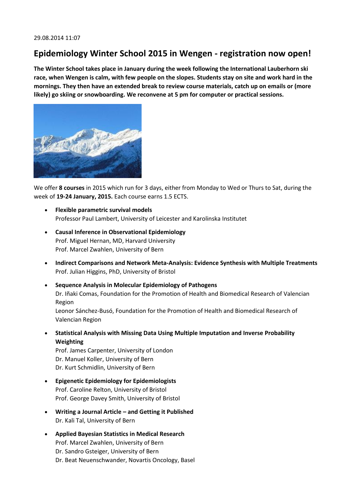### **Epidemiology Winter School 2015 in Wengen - registration now open!**

**The Winter School takes place in January during the week following the International Lauberhorn ski race, when Wengen is calm, with few people on the slopes. Students stay on site and work hard in the mornings. They then have an extended break to review course materials, catch up on emails or (more likely) go skiing or snowboarding. We reconvene at 5 pm for computer or practical sessions.**



We offer **8 courses** in 2015 which run for 3 days, either from Monday to Wed or Thurs to Sat, during the week of **19-24 January, 2015.** Each course earns 1.5 ECTS.

- **Flexible parametric survival models** Professor Paul Lambert, University of Leicester and Karolinska Institutet
- **Causal Inference in Observational Epidemiology** Prof. Miguel Hernan, MD, Harvard University Prof. Marcel Zwahlen, University of Bern
- **Indirect Comparisons and Network Meta-Analysis: Evidence Synthesis with Multiple Treatments** Prof. Julian Higgins, PhD, University of Bristol
- **Sequence Analysis in Molecular Epidemiology of Pathogens** Dr. Iñaki Comas, Foundation for the Promotion of Health and Biomedical Research of Valencian Region Leonor Sánchez-Busó, Foundation for the Promotion of Health and Biomedical Research of Valencian Region
- **Statistical Analysis with Missing Data Using Multiple Imputation and Inverse Probability Weighting**

Prof. James Carpenter, University of London Dr. Manuel Koller, University of Bern Dr. Kurt Schmidlin, University of Bern

- **Epigenetic Epidemiology for Epidemiologists** Prof. Caroline Relton, University of Bristol Prof. George Davey Smith, University of Bristol
- **Writing a Journal Article – and Getting it Published** Dr. Kali Tal, University of Bern
- **Applied Bayesian Statistics in Medical Research** Prof. Marcel Zwahlen, University of Bern Dr. Sandro Gsteiger, University of Bern Dr. Beat Neuenschwander, Novartis Oncology, Basel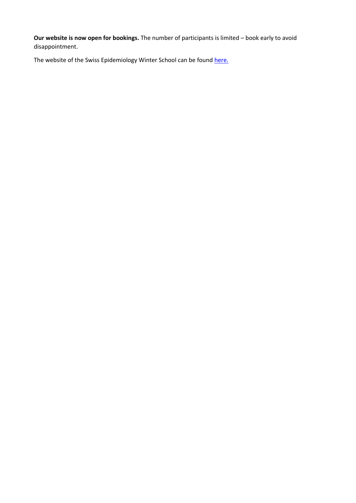**Our website is now open for bookings.** The number of participants is limited – book early to avoid disappointment.

The website of the Swiss Epidemiology Winter School can be foun[d here.](http://www.epi-winterschool.org/)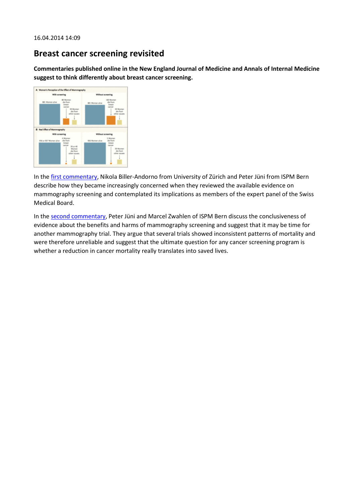### **Breast cancer screening revisited**

**Commentaries published online in the New England Journal of Medicine and Annals of Internal Medicine suggest to think differently about breast cancer screening.**



In the [first commentary,](http://www.nejm.org/doi/pdf/10.1056/NEJMp1401875) Nikola Biller-Andorno from University of Zürich and Peter Jüni from ISPM Bern describe how they became increasingly concerned when they reviewed the available evidence on mammography screening and contemplated its implications as members of the expert panel of the Swiss Medical Board.

In the [second commentary,](http://annals.org/article.aspx?articleid=1859303) Peter Jüni and Marcel Zwahlen of ISPM Bern discuss the conclusiveness of evidence about the benefits and harms of mammography screening and suggest that it may be time for another mammography trial. They argue that several trials showed inconsistent patterns of mortality and were therefore unreliable and suggest that the ultimate question for any cancer screening program is whether a reduction in cancer mortality really translates into saved lives.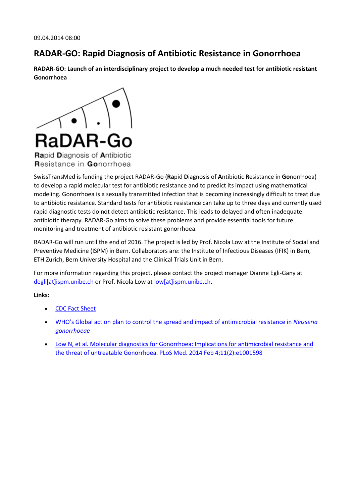### **RADAR-GO: Rapid Diagnosis of Antibiotic Resistance in Gonorrhoea**

**RADAR-GO: Launch of an interdisciplinary project to develop a much needed test for antibiotic resistant Gonorrhoea**



SwissTransMed is funding the project RADAR-Go (**Ra**pid **D**iagnosis of **A**ntibiotic **R**esistance in **Go**norrhoea) to develop a rapid molecular test for antibiotic resistance and to predict its impact using mathematical modeling. Gonorrhoea is a sexually transmitted infection that is becoming increasingly difficult to treat due to antibiotic resistance. Standard tests for antibiotic resistance can take up to three days and currently used rapid diagnostic tests do not detect antibiotic resistance. This leads to delayed and often inadequate antibiotic therapy. RADAR-Go aims to solve these problems and provide essential tools for future monitoring and treatment of antibiotic resistant gonorrhoea.

RADAR-Go will run until the end of 2016. The project is led by Prof. Nicola Low at the Institute of Social and Preventive Medicine (ISPM) in Bern. Collaborators are: the Institute of Infectious Diseases (IFIK) in Bern, ETH Zurich, Bern University Hospital and the Clinical Trials Unit in Bern.

For more information regarding this project, please contact the project manager Dianne Egli-Gany at [degli\[at\]ispm.unibe.ch](javascript:linkTo_UnCryptMailto() or Prof. Nicola Low a[t low\[at\]ispm.unibe.ch.](javascript:linkTo_UnCryptMailto()

#### **Links:**

- [CDC Fact Sheet](http://www.cdc.gov/std/Gonorrhea/STDFact-gonorrhea.htm)
- [WHO's Global action plan to control the spread and impact of antimicrobial resistance in](http://www.who.int/reproductivehealth/publications/rtis/9789241503501/en/) *Neisseria [gonorrhoeae](http://www.who.int/reproductivehealth/publications/rtis/9789241503501/en/)*
- [Low N, et al. Molecular diagnostics for Gonorrhoea: Implications for antimicrobial resistance and](http://www.plosmedicine.org/article/info%3Adoi%2F10.1371%2Fjournal.pmed.1001598)  [the threat of untreatable Gonorrhoea. PLoS Med. 2014](http://www.plosmedicine.org/article/info%3Adoi%2F10.1371%2Fjournal.pmed.1001598) Feb 4;11(2):e1001598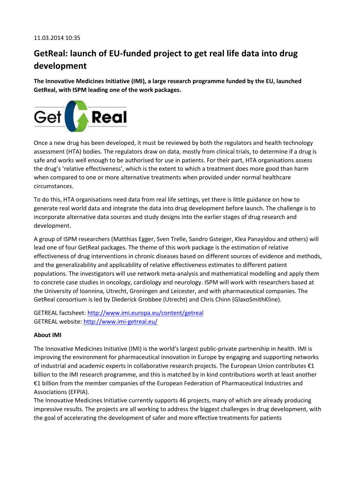## **GetReal: launch of EU-funded project to get real life data into drug development**

**The Innovative Medicines Initiative (IMI), a large research programme funded by the EU, launched GetReal, with ISPM leading one of the work packages.**



Once a new drug has been developed, it must be reviewed by both the regulators and health technology assessment (HTA) bodies. The regulators draw on data, mostly from clinical trials, to determine if a drug is safe and works well enough to be authorised for use in patients. For their part, HTA organisations assess the drug's 'relative effectiveness', which is the extent to which a treatment does more good than harm when compared to one or more alternative treatments when provided under normal healthcare circumstances.

To do this, HTA organisations need data from real life settings, yet there is little guidance on how to generate real world data and integrate the data into drug development before launch. The challenge is to incorporate alternative data sources and study designs into the earlier stages of drug research and development.

A group of ISPM researchers (Matthias Egger, Sven Trelle, Sandro Gsteiger, Klea Panayidou and others) will lead one of four GetReal packages. The theme of this work package is the estimation of relative effectiveness of drug interventions in chronic diseases based on different sources of evidence and methods, and the generalizability and applicability of relative effectiveness estimates to different patient populations. The investigators will use network meta-analysis and mathematical modelling and apply them to concrete case studies in oncology, cardiology and neurology. ISPM will work with researchers based at the University of Ioannina, Utrecht, Groningen and Leicester, and with pharmaceutical companies. The GetReal consortium is led by Diederick Grobbee (Utrecht) and Chris Chinn (GlaxoSmithKline).

GETREAL factsheet:<http://www.imi.europa.eu/content/getreal> GETREAL website[: http://www.imi-getreal.eu/](http://www.imi-getreal.eu/)

#### **About IMI**

The Innovative Medicines Initiative (IMI) is the world's largest public-private partnership in health. IMI is improving the environment for pharmaceutical innovation in Europe by engaging and supporting networks of industrial and academic experts in collaborative research projects. The European Union contributes €1 billion to the IMI research programme, and this is matched by in kind contributions worth at least another €1 billion from the member companies of the European Federation of Pharmaceutical Industries and Associations (EFPIA).

The Innovative Medicines Initiative currently supports 46 projects, many of which are already producing impressive results. The projects are all working to address the biggest challenges in drug development, with the goal of accelerating the development of safer and more effective treatments for patients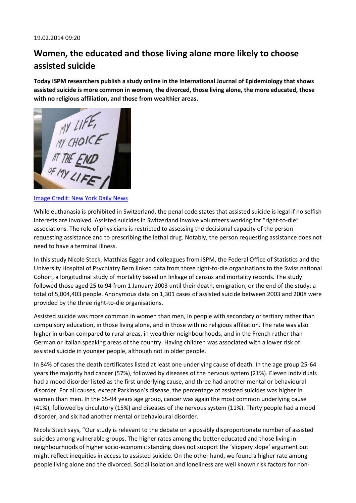## **Women, the educated and those living alone more likely to choose assisted suicide**

**Today ISPM researchers publish a study online in the International Journal of Epidemiology that shows assisted suicide is more common in women, the divorced, those living alone, the more educated, those with no religious affiliation, and those from wealthier areas.**



[Image Credit: New York Daily News](http://www.nydailynews.com/life-style/health/mass-votes-physician-assisted-suicide-article-1.1198305)

While euthanasia is prohibited in Switzerland, the penal code states that assisted suicide is legal if no selfish interests are involved. Assisted suicides in Switzerland involve volunteers working for "right-to-die" associations. The role of physicians is restricted to assessing the decisional capacity of the person requesting assistance and to prescribing the lethal drug. Notably, the person requesting assistance does not need to have a terminal illness.

In this study Nicole Steck, Matthias Egger and colleagues from ISPM, the Federal Office of Statistics and the University Hospital of Psychiatry Bern linked data from three right-to-die organisations to the Swiss national Cohort, a longitudinal study of mortality based on linkage of census and mortality records. The study followed those aged 25 to 94 from 1 January 2003 until their death, emigration, or the end of the study: a total of 5,004,403 people. Anonymous data on 1,301 cases of assisted suicide between 2003 and 2008 were provided by the three right-to-die organisations.

Assisted suicide was more common in women than men, in people with secondary or tertiary rather than compulsory education, in those living alone, and in those with no religious affiliation. The rate was also higher in urban compared to rural areas, in wealthier neighbourhoods, and in the French rather than German or Italian speaking areas of the country. Having children was associated with a lower risk of assisted suicide in younger people, although not in older people.

In 84% of cases the death certificates listed at least one underlying cause of death. In the age group 25-64 years the majority had cancer (57%), followed by diseases of the nervous system (21%). Eleven individuals had a mood disorder listed as the first underlying cause, and three had another mental or behavioural disorder. For all causes, except Parkinson's disease, the percentage of assisted suicides was higher in women than men. In the 65-94 years age group, cancer was again the most common underlying cause (41%), followed by circulatory (15%) and diseases of the nervous system (11%). Thirty people had a mood disorder, and six had another mental or behavioural disorder.

Nicole Steck says, "Our study is relevant to the debate on a possibly disproportionate number of assisted suicides among vulnerable groups. The higher rates among the better educated and those living in neighbourhoods of higher socio-economic standing does not support the 'slippery slope' argument but might reflect inequities in access to assisted suicide. On the other hand, we found a higher rate among people living alone and the divorced. Social isolation and loneliness are well known risk factors for non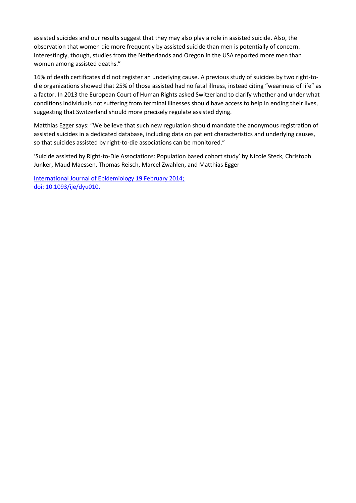assisted suicides and our results suggest that they may also play a role in assisted suicide. Also, the observation that women die more frequently by assisted suicide than men is potentially of concern. Interestingly, though, studies from the Netherlands and Oregon in the USA reported more men than women among assisted deaths."

16% of death certificates did not register an underlying cause. A previous study of suicides by two right-todie organizations showed that 25% of those assisted had no fatal illness, instead citing "weariness of life" as a factor. In 2013 the European Court of Human Rights asked Switzerland to clarify whether and under what conditions individuals not suffering from terminal illnesses should have access to help in ending their lives, suggesting that Switzerland should more precisely regulate assisted dying.

Matthias Egger says: "We believe that such new regulation should mandate the anonymous registration of assisted suicides in a dedicated database, including data on patient characteristics and underlying causes, so that suicides assisted by right-to-die associations can be monitored."

'Suicide assisted by Right-to-Die Associations: Population based cohort study' by Nicole Steck, Christoph Junker, Maud Maessen, Thomas Reisch, Marcel Zwahlen, and Matthias Egger

[International Journal of Epidemiology 19 February 2014;](http://ije.oxfordjournals.org/cgi/content/abstract/dyu010?)  [doi: 10.1093/ije/dyu010.](http://ije.oxfordjournals.org/cgi/content/abstract/dyu010?)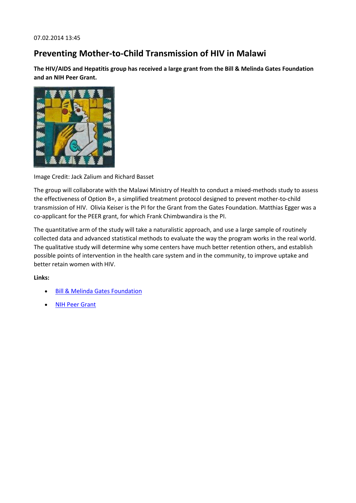### **Preventing Mother-to-Child Transmission of HIV in Malawi**

**The HIV/AIDS and Hepatitis group has received a large grant from the Bill & Melinda Gates Foundation and an NIH Peer Grant.**



Image Credit: Jack Zalium and Richard Basset

The group will collaborate with the Malawi Ministry of Health to conduct a mixed-methods study to assess the effectiveness of Option B+, a simplified treatment protocol designed to prevent mother-to-child transmission of HIV. Olivia Keiser is the PI for the Grant from the Gates Foundation. Matthias Egger was a co-applicant for the PEER grant, for which Frank Chimbwandira is the PI.

The quantitative arm of the study will take a naturalistic approach, and use a large sample of routinely collected data and advanced statistical methods to evaluate the way the program works in the real world. The qualitative study will determine why some centers have much better retention others, and establish possible points of intervention in the health care system and in the community, to improve uptake and better retain women with HIV.

**Links:**

- [Bill & Melinda Gates Foundation](http://www.gatesfoundation.org/What-We-Do/Global-Health/HIV)
- [NIH Peer Grant](http://sites.nationalacademies.org/PGA/dsc/peerhealth/index.htm)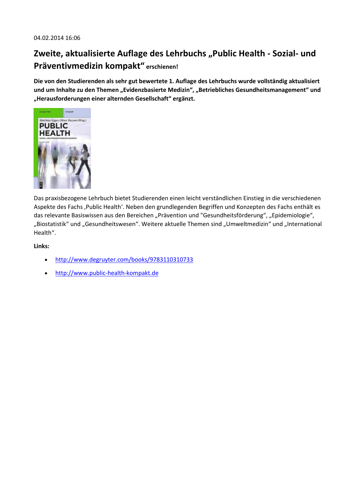## **Zweite, aktualisierte Auflage des Lehrbuchs "Public Health - Sozial- und Präventivmedizin kompakt" erschienen!**

**Die von den Studierenden als sehr gut bewertete 1. Auflage des Lehrbuchs wurde vollständig aktualisiert**  und um Inhalte zu den Themen "Evidenzbasierte Medizin", "Betriebliches Gesundheitsmanagement" und **"Herausforderungen einer alternden Gesellschaft" ergänzt.**



Das praxisbezogene Lehrbuch bietet Studierenden einen leicht verständlichen Einstieg in die verschiedenen Aspekte des Fachs , Public Health'. Neben den grundlegenden Begriffen und Konzepten des Fachs enthält es das relevante Basiswissen aus den Bereichen "Prävention und "Gesundheitsförderung", "Epidemiologie", "Biostatistik" und "Gesundheitswesen". Weitere aktuelle Themen sind "Umweltmedizin" und "International Health".

#### **Links:**

- <http://www.degruyter.com/books/9783110310733>
- [http://www.public-health-kompakt.de](http://www.public-health-kompakt.de/)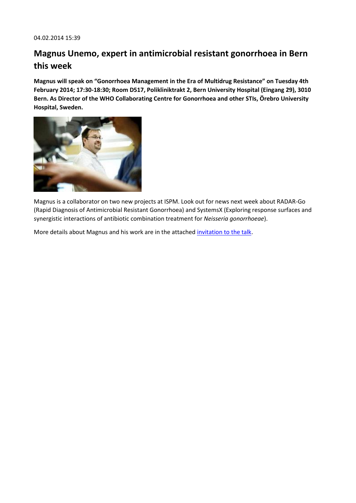## **Magnus Unemo, expert in antimicrobial resistant gonorrhoea in Bern this week**

**Magnus will speak on "Gonorrhoea Management in the Era of Multidrug Resistance" on Tuesday 4th February 2014; 17:30-18:30; Room D517, Polikliniktrakt 2, Bern University Hospital (Eingang 29), 3010 Bern. As Director of the WHO Collaborating Centre for Gonorrhoea and other STIs, Örebro University Hospital, Sweden.**



Magnus is a collaborator on two new projects at ISPM. Look out for news next week about RADAR-Go (Rapid Diagnosis of Antimicrobial Resistant Gonorrhoea) and SystemsX (Exploring response surfaces and synergistic interactions of antibiotic combination treatment for *Neisseria gonorrhoeae*).

More details about Magnus and his work are in the attache[d invitation to the talk.](http://www.ispm.ch/fileadmin/doc_download/News/news_0114_Invitation_Lecture_Prof_Unemo_Gonorrhoea_Management_140115.pdf)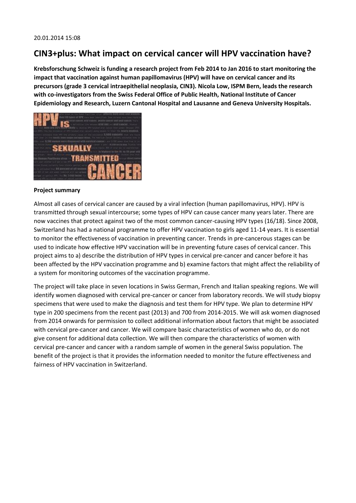### **CIN3+plus: What impact on cervical cancer will HPV vaccination have?**

**Krebsforschung Schweiz is funding a research project from Feb 2014 to Jan 2016 to start monitoring the impact that vaccination against human papillomavirus (HPV) will have on cervical cancer and its precursors (grade 3 cervical intraepithelial neoplasia, CIN3). Nicola Low, ISPM Bern, leads the research with co-investigators from the Swiss Federal Office of Public Health, National Institute of Cancer Epidemiology and Research, Luzern Cantonal Hospital and Lausanne and Geneva University Hospitals.**



#### **Project summary**

Almost all cases of cervical cancer are caused by a viral infection (human papillomavirus, HPV). HPV is transmitted through sexual intercourse; some types of HPV can cause cancer many years later. There are now vaccines that protect against two of the most common cancer-causing HPV types (16/18). Since 2008, Switzerland has had a national programme to offer HPV vaccination to girls aged 11-14 years. It is essential to monitor the effectiveness of vaccination in preventing cancer. Trends in pre-cancerous stages can be used to indicate how effective HPV vaccination will be in preventing future cases of cervical cancer. This project aims to a) describe the distribution of HPV types in cervical pre-cancer and cancer before it has been affected by the HPV vaccination programme and b) examine factors that might affect the reliability of a system for monitoring outcomes of the vaccination programme.

The project will take place in seven locations in Swiss German, French and Italian speaking regions. We will identify women diagnosed with cervical pre-cancer or cancer from laboratory records. We will study biopsy specimens that were used to make the diagnosis and test them for HPV type. We plan to determine HPV type in 200 specimens from the recent past (2013) and 700 from 2014-2015. We will ask women diagnosed from 2014 onwards for permission to collect additional information about factors that might be associated with cervical pre-cancer and cancer. We will compare basic characteristics of women who do, or do not give consent for additional data collection. We will then compare the characteristics of women with cervical pre-cancer and cancer with a random sample of women in the general Swiss population. The benefit of the project is that it provides the information needed to monitor the future effectiveness and fairness of HPV vaccination in Switzerland.